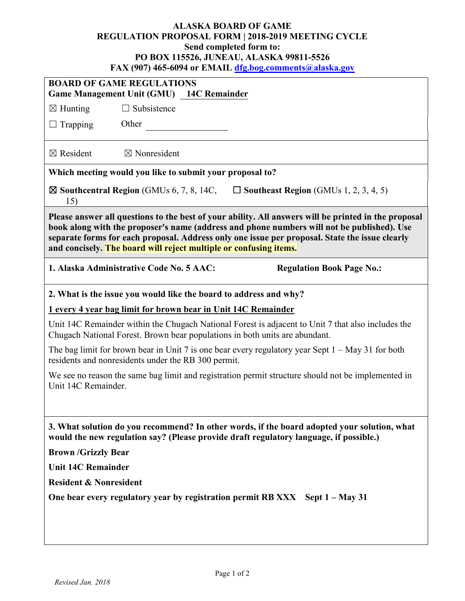## **ALASKA BOARD OF GAME REGULATION PROPOSAL FORM | 2018-2019 MEETING CYCLE Send completed form to: PO BOX 115526, JUNEAU, ALASKA 99811-5526 FAX (907) 465-6094 or EMAIL [dfg.bog.comments@alaska.gov](mailto:dfg.bog.comments@alaska.gov)**

| 17111 (2017 тоз-оо2т от Евитин <mark>игеолеасопписны) (идиамине</mark> ст                                                                                                                                                                                                                                                                                                 |  |  |  |  |
|---------------------------------------------------------------------------------------------------------------------------------------------------------------------------------------------------------------------------------------------------------------------------------------------------------------------------------------------------------------------------|--|--|--|--|
| <b>BOARD OF GAME REGULATIONS</b><br>Game Management Unit (GMU) 14C Remainder                                                                                                                                                                                                                                                                                              |  |  |  |  |
| $\Box$ Subsistence<br>$\boxtimes$ Hunting                                                                                                                                                                                                                                                                                                                                 |  |  |  |  |
| Other<br>$\Box$ Trapping                                                                                                                                                                                                                                                                                                                                                  |  |  |  |  |
|                                                                                                                                                                                                                                                                                                                                                                           |  |  |  |  |
| $\boxtimes$ Resident<br>$\boxtimes$ Nonresident                                                                                                                                                                                                                                                                                                                           |  |  |  |  |
| Which meeting would you like to submit your proposal to?                                                                                                                                                                                                                                                                                                                  |  |  |  |  |
| $\square$ Southeast Region (GMUs 1, 2, 3, 4, 5)<br>$\boxtimes$ Southcentral Region (GMUs 6, 7, 8, 14C,<br>15)                                                                                                                                                                                                                                                             |  |  |  |  |
| Please answer all questions to the best of your ability. All answers will be printed in the proposal<br>book along with the proposer's name (address and phone numbers will not be published). Use<br>separate forms for each proposal. Address only one issue per proposal. State the issue clearly<br>and concisely. The board will reject multiple or confusing items. |  |  |  |  |
| 1. Alaska Administrative Code No. 5 AAC:<br><b>Regulation Book Page No.:</b>                                                                                                                                                                                                                                                                                              |  |  |  |  |
| 2. What is the issue you would like the board to address and why?                                                                                                                                                                                                                                                                                                         |  |  |  |  |
| 1 every 4 year bag limit for brown bear in Unit 14C Remainder                                                                                                                                                                                                                                                                                                             |  |  |  |  |
| Unit 14C Remainder within the Chugach National Forest is adjacent to Unit 7 that also includes the<br>Chugach National Forest. Brown bear populations in both units are abundant.                                                                                                                                                                                         |  |  |  |  |
| The bag limit for brown bear in Unit 7 is one bear every regulatory year Sept $1 - May 31$ for both<br>residents and nonresidents under the RB 300 permit.                                                                                                                                                                                                                |  |  |  |  |
| We see no reason the same bag limit and registration permit structure should not be implemented in<br>Unit 14C Remainder.                                                                                                                                                                                                                                                 |  |  |  |  |
| 3. What solution do you recommend? In other words, if the board adopted your solution, what<br>would the new regulation say? (Please provide draft regulatory language, if possible.)                                                                                                                                                                                     |  |  |  |  |
| <b>Brown /Grizzly Bear</b>                                                                                                                                                                                                                                                                                                                                                |  |  |  |  |
| <b>Unit 14C Remainder</b>                                                                                                                                                                                                                                                                                                                                                 |  |  |  |  |
| <b>Resident &amp; Nonresident</b>                                                                                                                                                                                                                                                                                                                                         |  |  |  |  |
| One bear every regulatory year by registration permit RB XXX Sept 1 – May 31                                                                                                                                                                                                                                                                                              |  |  |  |  |
|                                                                                                                                                                                                                                                                                                                                                                           |  |  |  |  |